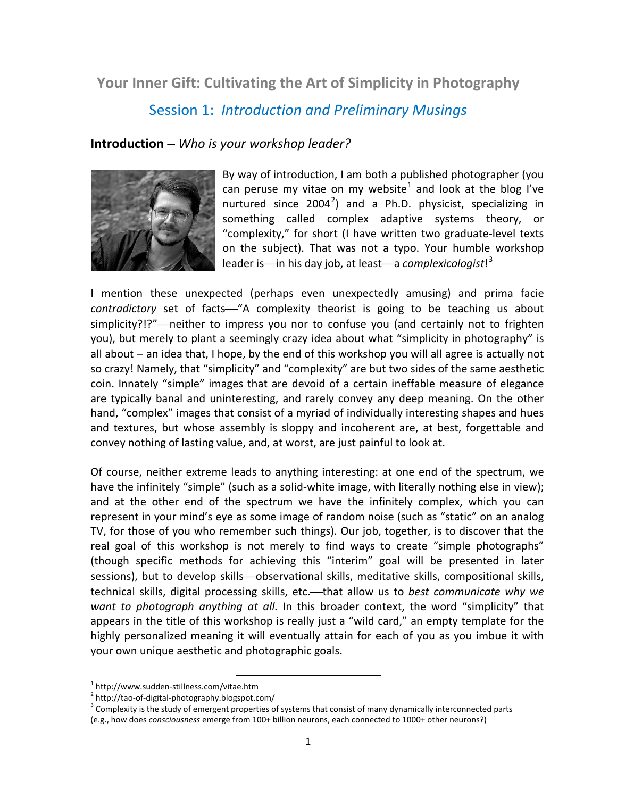# **Your Inner Gift: Cultivating the Art of Simplicity in Photography**

# Session 1: *Introduction and Preliminary Musings*

## **Introduction** − *Who is your workshop leader?*



By way of introduction, I am both a published photographer (you can peruse my vitae on my website<sup>[1](#page-0-0)</sup> and look at the blog I've nurtured since  $2004^2$  $2004^2$ ) and a Ph.D. physicist, specializing in something called complex adaptive systems theory, or "complexity," for short (I have written two graduate-level texts on the subject). That was not a typo. Your humble workshop leader is—in his day job, at least—a *complexicologist*!<sup>[3](#page-0-2)</sup>

I mention these unexpected (perhaps even unexpectedly amusing) and prima facie contradictory set of facts—"A complexity theorist is going to be teaching us about simplicity?!?"—neither to impress you nor to confuse you (and certainly not to frighten you), but merely to plant a seemingly crazy idea about what "simplicity in photography" is all about – an idea that, I hope, by the end of this workshop you will all agree is actually not so crazy! Namely, that "simplicity" and "complexity" are but two sides of the same aesthetic coin. Innately "simple" images that are devoid of a certain ineffable measure of elegance are typically banal and uninteresting, and rarely convey any deep meaning. On the other hand, "complex" images that consist of a myriad of individually interesting shapes and hues and textures, but whose assembly is sloppy and incoherent are, at best, forgettable and convey nothing of lasting value, and, at worst, are just painful to look at.

Of course, neither extreme leads to anything interesting: at one end of the spectrum, we have the infinitely "simple" (such as a solid-white image, with literally nothing else in view); and at the other end of the spectrum we have the infinitely complex, which you can represent in your mind's eye as some image of random noise (such as "static" on an analog TV, for those of you who remember such things). Our job, together, is to discover that the real goal of this workshop is not merely to find ways to create "simple photographs" (though specific methods for achieving this "interim" goal will be presented in later sessions), but to develop skills—observational skills, meditative skills, compositional skills, technical skills, digital processing skills, etc.-- that allow us to *best communicate why we want to photograph anything at all.* In this broader context, the word "simplicity" that appears in the title of this workshop is really just a "wild card," an empty template for the highly personalized meaning it will eventually attain for each of you as you imbue it with your own unique aesthetic and photographic goals.

<span id="page-0-2"></span><span id="page-0-1"></span>

<span id="page-0-0"></span><sup>&</sup>lt;sup>1</sup> http://www.sudden-stillness.com/vitae.htm<br><sup>2</sup> http://tao-of-digital-photography.blogspot.com/<br><sup>3</sup> Complexity is the study of emergent properties of systems that consist of many dynamically interconnected parts (e.g., how does *consciousness* emerge from 100+ billion neurons, each connected to 1000+ other neurons?)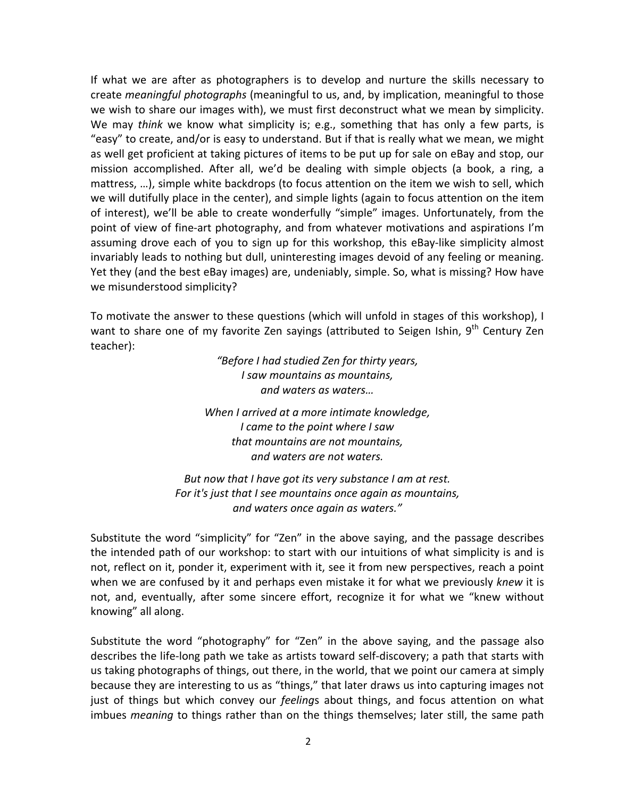If what we are after as photographers is to develop and nurture the skills necessary to create *meaningful photographs* (meaningful to us, and, by implication, meaningful to those we wish to share our images with), we must first deconstruct what we mean by simplicity. We may *think* we know what simplicity is; e.g., something that has only a few parts, is "easy" to create, and/or is easy to understand. But if that is really what we mean, we might as well get proficient at taking pictures of items to be put up for sale on eBay and stop, our mission accomplished. After all, we'd be dealing with simple objects (a book, a ring, a mattress, …), simple white backdrops (to focus attention on the item we wish to sell, which we will dutifully place in the center), and simple lights (again to focus attention on the item of interest), we'll be able to create wonderfully "simple" images. Unfortunately, from the point of view of fine-art photography, and from whatever motivations and aspirations I'm assuming drove each of you to sign up for this workshop, this eBay-like simplicity almost invariably leads to nothing but dull, uninteresting images devoid of any feeling or meaning. Yet they (and the best eBay images) are, undeniably, simple. So, what is missing? How have we misunderstood simplicity?

To motivate the answer to these questions (which will unfold in stages of this workshop), I want to share one of my favorite Zen sayings (attributed to Seigen Ishin,  $9^{th}$  Century Zen teacher):

> *"Before I had studied Zen for thirty years, I saw mountains as mountains, and waters as waters…*

*When I arrived at a more intimate knowledge, I came to the point where I saw that mountains are not mountains, and waters are not waters.*

*But now that I have got its very substance I am at rest. For it's just that I see mountains once again as mountains, and waters once again as waters."*

Substitute the word "simplicity" for "Zen" in the above saying, and the passage describes the intended path of our workshop: to start with our intuitions of what simplicity is and is not, reflect on it, ponder it, experiment with it, see it from new perspectives, reach a point when we are confused by it and perhaps even mistake it for what we previously *knew* it is not, and, eventually, after some sincere effort, recognize it for what we "knew without knowing" all along.

Substitute the word "photography" for "Zen" in the above saying, and the passage also describes the life-long path we take as artists toward self-discovery; a path that starts with us taking photographs of things, out there, in the world, that we point our camera at simply because they are interesting to us as "things," that later draws us into capturing images not just of things but which convey our *feeling*s about things, and focus attention on what imbues *meaning* to things rather than on the things themselves; later still, the same path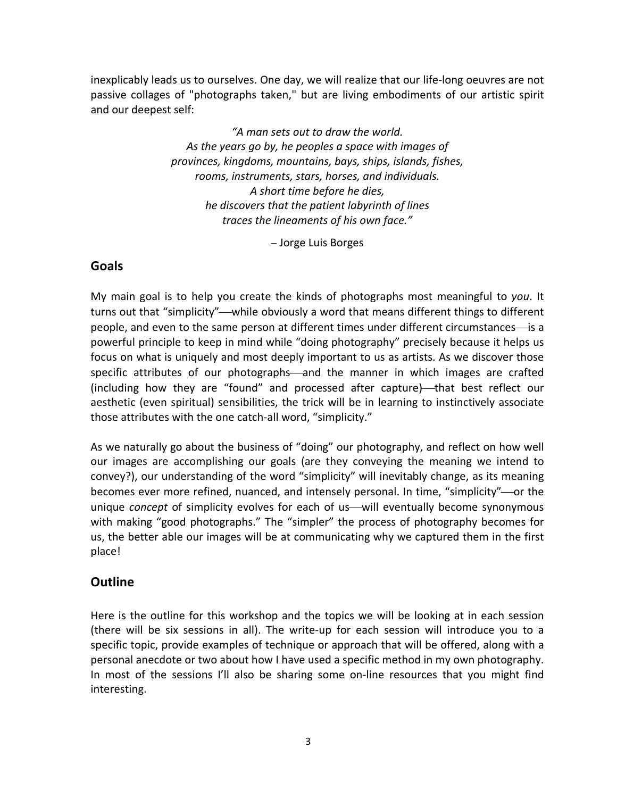inexplicably leads us to ourselves. One day, we will realize that our life-long oeuvres are not passive collages of "photographs taken," but are living embodiments of our artistic spirit and our deepest self:

> *"A man sets out to draw the world. As the years go by, he peoples a space with images of provinces, kingdoms, mountains, bays, ships, islands, fishes, rooms, instruments, stars, horses, and individuals. A short time before he dies, he discovers that the patient labyrinth of lines traces the lineaments of his own face."*

> > − Jorge Luis Borges

## **Goals**

My main goal is to help you create the kinds of photographs most meaningful to *you*. It turns out that "simplicity"—while obviously a word that means different things to different people, and even to the same person at different times under different circumstances-is a powerful principle to keep in mind while "doing photography" precisely because it helps us focus on what is uniquely and most deeply important to us as artists. As we discover those specific attributes of our photographs—and the manner in which images are crafted (including how they are "found" and processed after capture)—that best reflect our aesthetic (even spiritual) sensibilities, the trick will be in learning to instinctively associate those attributes with the one catch-all word, "simplicity."

As we naturally go about the business of "doing" our photography, and reflect on how well our images are accomplishing our goals (are they conveying the meaning we intend to convey?), our understanding of the word "simplicity" will inevitably change, as its meaning becomes ever more refined, nuanced, and intensely personal. In time, "simplicity"—or the unique *concept* of simplicity evolves for each of us—will eventually become synonymous with making "good photographs." The "simpler" the process of photography becomes for us, the better able our images will be at communicating why we captured them in the first place!

## **Outline**

Here is the outline for this workshop and the topics we will be looking at in each session (there will be six sessions in all). The write-up for each session will introduce you to a specific topic, provide examples of technique or approach that will be offered, along with a personal anecdote or two about how I have used a specific method in my own photography. In most of the sessions I'll also be sharing some on-line resources that you might find interesting.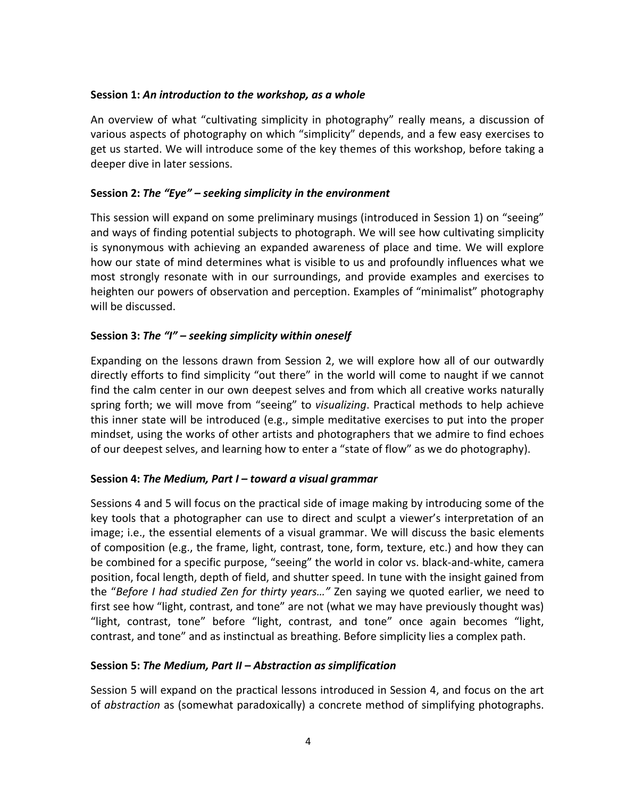#### **Session 1:** *An introduction to the workshop, as a whole*

An overview of what "cultivating simplicity in photography" really means, a discussion of various aspects of photography on which "simplicity" depends, and a few easy exercises to get us started. We will introduce some of the key themes of this workshop, before taking a deeper dive in later sessions.

## **Session 2:** *The "Eye" – seeking simplicity in the environment*

This session will expand on some preliminary musings (introduced in Session 1) on "seeing" and ways of finding potential subjects to photograph. We will see how cultivating simplicity is synonymous with achieving an expanded awareness of place and time. We will explore how our state of mind determines what is visible to us and profoundly influences what we most strongly resonate with in our surroundings, and provide examples and exercises to heighten our powers of observation and perception. Examples of "minimalist" photography will be discussed.

## **Session 3:** *The "I" – seeking simplicity within oneself*

Expanding on the lessons drawn from Session 2, we will explore how all of our outwardly directly efforts to find simplicity "out there" in the world will come to naught if we cannot find the calm center in our own deepest selves and from which all creative works naturally spring forth; we will move from "seeing" to *visualizing*. Practical methods to help achieve this inner state will be introduced (e.g., simple meditative exercises to put into the proper mindset, using the works of other artists and photographers that we admire to find echoes of our deepest selves, and learning how to enter a "state of flow" as we do photography).

## **Session 4:** *The Medium, Part I – toward a visual grammar*

Sessions 4 and 5 will focus on the practical side of image making by introducing some of the key tools that a photographer can use to direct and sculpt a viewer's interpretation of an image; i.e., the essential elements of a visual grammar. We will discuss the basic elements of composition (e.g., the frame, light, contrast, tone, form, texture, etc.) and how they can be combined for a specific purpose, "seeing" the world in color vs. black-and-white, camera position, focal length, depth of field, and shutter speed. In tune with the insight gained from the "*Before I had studied Zen for thirty years…"* Zen saying we quoted earlier, we need to first see how "light, contrast, and tone" are not (what we may have previously thought was) "light, contrast, tone" before "light, contrast, and tone" once again becomes "light, contrast, and tone" and as instinctual as breathing. Before simplicity lies a complex path.

## **Session 5:** *The Medium, Part II – Abstraction as simplification*

Session 5 will expand on the practical lessons introduced in Session 4, and focus on the art of *abstraction* as (somewhat paradoxically) a concrete method of simplifying photographs.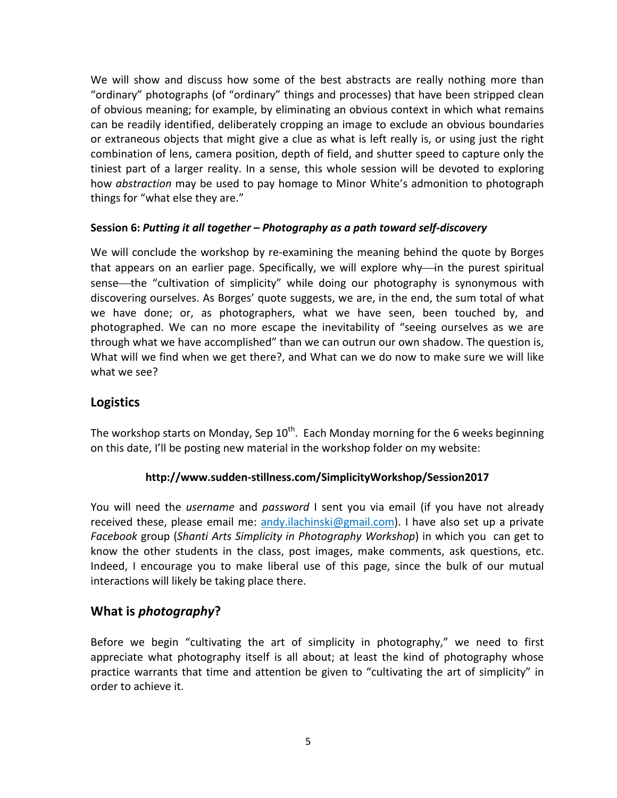We will show and discuss how some of the best abstracts are really nothing more than "ordinary" photographs (of "ordinary" things and processes) that have been stripped clean of obvious meaning; for example, by eliminating an obvious context in which what remains can be readily identified, deliberately cropping an image to exclude an obvious boundaries or extraneous objects that might give a clue as what is left really is, or using just the right combination of lens, camera position, depth of field, and shutter speed to capture only the tiniest part of a larger reality. In a sense, this whole session will be devoted to exploring how *abstraction* may be used to pay homage to Minor White's admonition to photograph things for "what else they are."

## **Session 6:** *Putting it all together – Photography as a path toward self-discovery*

We will conclude the workshop by re-examining the meaning behind the quote by Borges that appears on an earlier page. Specifically, we will explore why—in the purest spiritual sense—the "cultivation of simplicity" while doing our photography is synonymous with discovering ourselves. As Borges' quote suggests, we are, in the end, the sum total of what we have done; or, as photographers, what we have seen, been touched by, and photographed. We can no more escape the inevitability of "seeing ourselves as we are through what we have accomplished" than we can outrun our own shadow. The question is, What will we find when we get there?, and What can we do now to make sure we will like what we see?

## **Logistics**

The workshop starts on Monday, Sep  $10^{th}$ . Each Monday morning for the 6 weeks beginning on this date, I'll be posting new material in the workshop folder on my website:

## **http://www.sudden-stillness.com/SimplicityWorkshop/Session2017**

You will need the *username* and *password* I sent you via email (if you have not already received these, please email me: [andy.ilachinski@gmail.com\)](mailto:andy.ilachinski@gmail.com). I have also set up a private *Facebook* group (*Shanti Arts Simplicity in Photography Workshop*) in which you can get to know the other students in the class, post images, make comments, ask questions, etc. Indeed, I encourage you to make liberal use of this page, since the bulk of our mutual interactions will likely be taking place there.

## **What is** *photography***?**

Before we begin "cultivating the art of simplicity in photography," we need to first appreciate what photography itself is all about; at least the kind of photography whose practice warrants that time and attention be given to "cultivating the art of simplicity" in order to achieve it.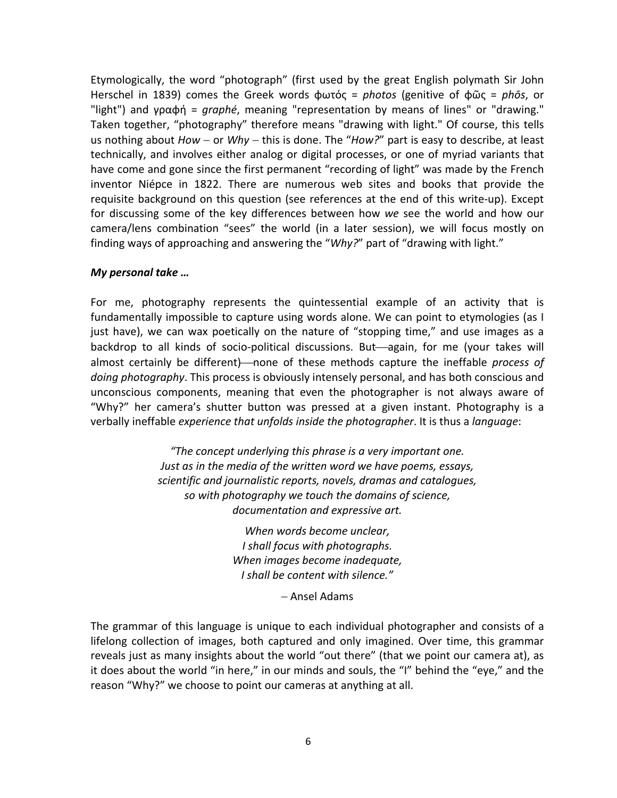Etymologically, the word "photograph" (first used by the great English polymath Sir John Herschel in 1839) comes the Greek words φωτός = *photos* (genitive of φῶς = *phōs*, or "light") and γραφή = *graphé*, meaning "representation by means of lines" or "drawing." Taken together, "photography" therefore means "drawing with light." Of course, this tells us nothing about *How* − or *Why* − this is done. The "*How?*" part is easy to describe, at least technically, and involves either analog or digital processes, or one of myriad variants that have come and gone since the first permanent "recording of light" was made by the French inventor Niépce in 1822. There are numerous web sites and books that provide the requisite background on this question (see references at the end of this write-up). Except for discussing some of the key differences between how *we* see the world and how our camera/lens combination "sees" the world (in a later session), we will focus mostly on finding ways of approaching and answering the "*Why?*" part of "drawing with light."

#### *My personal take …*

For me, photography represents the quintessential example of an activity that is fundamentally impossible to capture using words alone. We can point to etymologies (as I just have), we can wax poetically on the nature of "stopping time," and use images as a backdrop to all kinds of socio-political discussions. But—again, for me (your takes will almost certainly be different)—none of these methods capture the ineffable *process of doing photography*. This process is obviously intensely personal, and has both conscious and unconscious components, meaning that even the photographer is not always aware of "Why?" her camera's shutter button was pressed at a given instant. Photography is a verbally ineffable *experience that unfolds inside the photographer*. It is thus a *language*:

> *"The concept underlying this phrase is a very important one. Just as in the media of the written word we have poems, essays, scientific and journalistic reports, novels, dramas and catalogues, so with photography we touch the domains of science, documentation and expressive art.*

> > *When words become unclear, I shall focus with photographs. When images become inadequate, I shall be content with silence."*

> > > − Ansel Adams

The grammar of this language is unique to each individual photographer and consists of a lifelong collection of images, both captured and only imagined. Over time, this grammar reveals just as many insights about the world "out there" (that we point our camera at), as it does about the world "in here," in our minds and souls, the "I" behind the "eye," and the reason "Why?" we choose to point our cameras at anything at all.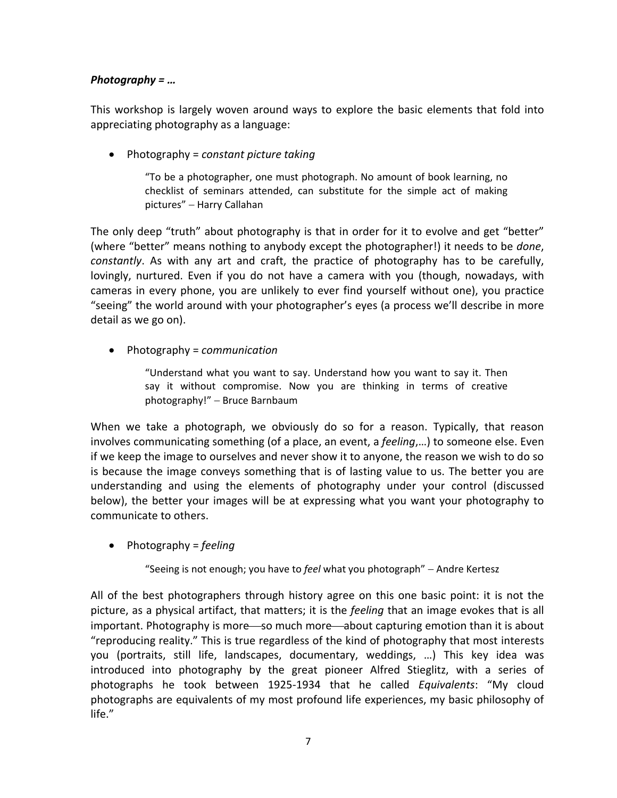## *Photography = …*

This workshop is largely woven around ways to explore the basic elements that fold into appreciating photography as a language:

• Photography = *constant picture taking*

"To be a photographer, one must photograph. No amount of book learning, no checklist of seminars attended, can substitute for the simple act of making pictures" − Harry Callahan

The only deep "truth" about photography is that in order for it to evolve and get "better" (where "better" means nothing to anybody except the photographer!) it needs to be *done*, *constantly*. As with any art and craft, the practice of photography has to be carefully, lovingly, nurtured. Even if you do not have a camera with you (though, nowadays, with cameras in every phone, you are unlikely to ever find yourself without one), you practice "seeing" the world around with your photographer's eyes (a process we'll describe in more detail as we go on).

• Photography = *communication*

"Understand what you want to say. Understand how you want to say it. Then say it without compromise. Now you are thinking in terms of creative photography!" – Bruce Barnbaum

When we take a photograph, we obviously do so for a reason. Typically, that reason involves communicating something (of a place, an event, a *feeling*,…) to someone else. Even if we keep the image to ourselves and never show it to anyone, the reason we wish to do so is because the image conveys something that is of lasting value to us. The better you are understanding and using the elements of photography under your control (discussed below), the better your images will be at expressing what you want your photography to communicate to others.

• Photography = *feeling*

"Seeing is not enough; you have to *feel* what you photograph" − Andre Kertesz

All of the best photographers through history agree on this one basic point: it is not the picture, as a physical artifact, that matters; it is the *feeling* that an image evokes that is all important. Photography is more so much more about capturing emotion than it is about "reproducing reality." This is true regardless of the kind of photography that most interests you (portraits, still life, landscapes, documentary, weddings, …) This key idea was introduced into photography by the great pioneer Alfred Stieglitz, with a series of photographs he took between 1925-1934 that he called *Equivalents*: "My cloud photographs are equivalents of my most profound life experiences, my basic philosophy of life."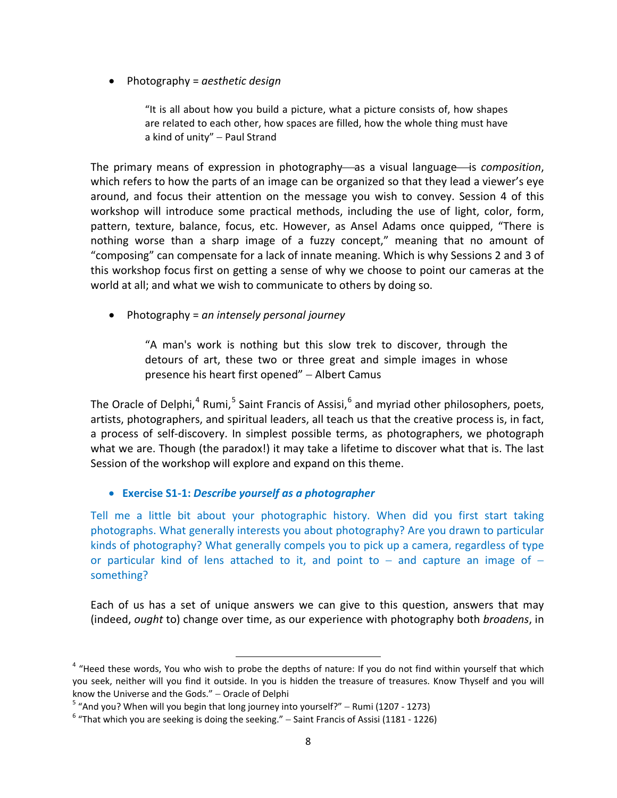• Photography = *aesthetic design*

"It is all about how you build a picture, what a picture consists of, how shapes are related to each other, how spaces are filled, how the whole thing must have a kind of unity" – Paul Strand

The primary means of expression in photography—as a visual language—is *composition*, which refers to how the parts of an image can be organized so that they lead a viewer's eye around, and focus their attention on the message you wish to convey. Session 4 of this workshop will introduce some practical methods, including the use of light, color, form, pattern, texture, balance, focus, etc. However, as Ansel Adams once quipped, "There is nothing worse than a sharp image of a fuzzy concept," meaning that no amount of "composing" can compensate for a lack of innate meaning. Which is why Sessions 2 and 3 of this workshop focus first on getting a sense of why we choose to point our cameras at the world at all; and what we wish to communicate to others by doing so.

• Photography = *an intensely personal journey*

"A man's work is nothing but this slow trek to discover, through the detours of art, these two or three great and simple images in whose presence his heart first opened" – Albert Camus

The Oracle of Delphi,<sup>[4](#page-7-0)</sup> Rumi,<sup>[5](#page-7-1)</sup> Saint Francis of Assisi,<sup>[6](#page-7-2)</sup> and myriad other philosophers, poets, artists, photographers, and spiritual leaders, all teach us that the creative process is, in fact, a process of self-discovery. In simplest possible terms, as photographers, we photograph what we are. Though (the paradox!) it may take a lifetime to discover what that is. The last Session of the workshop will explore and expand on this theme.

#### • **Exercise S1-1:** *Describe yourself as a photographer*

Tell me a little bit about your photographic history. When did you first start taking photographs. What generally interests you about photography? Are you drawn to particular kinds of photography? What generally compels you to pick up a camera, regardless of type or particular kind of lens attached to it, and point to  $-$  and capture an image of  $$ something?

Each of us has a set of unique answers we can give to this question, answers that may (indeed, *ought* to) change over time, as our experience with photography both *broadens*, in

<span id="page-7-0"></span><sup>&</sup>lt;sup>4</sup> "Heed these words, You who wish to probe the depths of nature: If you do not find within yourself that which you seek, neither will you find it outside. In you is hidden the treasure of treasures. Know Thyself and you will know the Universe and the Gods." − Oracle of Delphi

<span id="page-7-1"></span> $5$  "And you? When will you begin that long journey into yourself?" – Rumi (1207 - 1273)

<span id="page-7-2"></span> $6$  "That which you are seeking is doing the seeking." – Saint Francis of Assisi (1181 - 1226)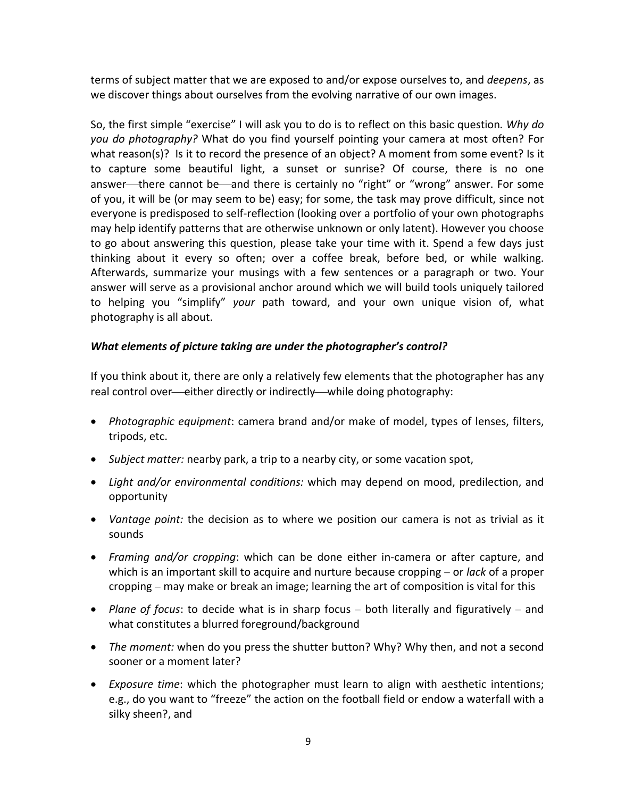terms of subject matter that we are exposed to and/or expose ourselves to, and *deepens*, as we discover things about ourselves from the evolving narrative of our own images.

So, the first simple "exercise" I will ask you to do is to reflect on this basic question*. Why do you do photography?* What do you find yourself pointing your camera at most often? For what reason(s)? Is it to record the presence of an object? A moment from some event? Is it to capture some beautiful light, a sunset or sunrise? Of course, there is no one answer—there cannot be—and there is certainly no "right" or "wrong" answer. For some of you, it will be (or may seem to be) easy; for some, the task may prove difficult, since not everyone is predisposed to self-reflection (looking over a portfolio of your own photographs may help identify patterns that are otherwise unknown or only latent). However you choose to go about answering this question, please take your time with it. Spend a few days just thinking about it every so often; over a coffee break, before bed, or while walking. Afterwards, summarize your musings with a few sentences or a paragraph or two. Your answer will serve as a provisional anchor around which we will build tools uniquely tailored to helping you "simplify" *your* path toward, and your own unique vision of, what photography is all about.

## *What elements of picture taking are under the photographer's control?*

If you think about it, there are only a relatively few elements that the photographer has any real control over—either directly or indirectly—while doing photography:

- *Photographic equipment*: camera brand and/or make of model, types of lenses, filters, tripods, etc.
- *Subject matter:* nearby park, a trip to a nearby city, or some vacation spot,
- *Light and/or environmental conditions:* which may depend on mood, predilection, and opportunity
- *Vantage point:* the decision as to where we position our camera is not as trivial as it sounds
- *Framing and/or cropping*: which can be done either in-camera or after capture, and which is an important skill to acquire and nurture because cropping − or *lack* of a proper cropping − may make or break an image; learning the art of composition is vital for this
- *Plane of focus*: to decide what is in sharp focus − both literally and figuratively − and what constitutes a blurred foreground/background
- *The moment:* when do you press the shutter button? Why? Why then, and not a second sooner or a moment later?
- *Exposure time*: which the photographer must learn to align with aesthetic intentions; e.g., do you want to "freeze" the action on the football field or endow a waterfall with a silky sheen?, and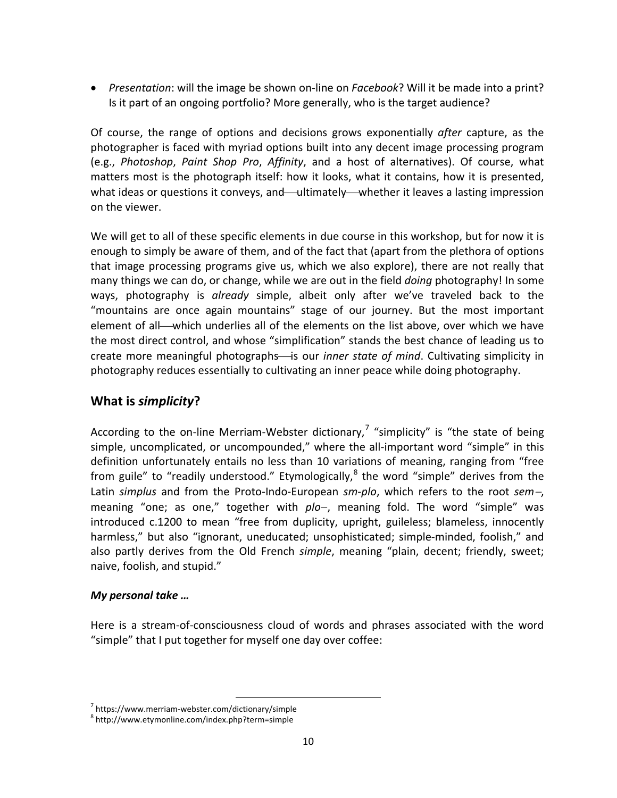• *Presentation*: will the image be shown on-line on *Facebook*? Will it be made into a print? Is it part of an ongoing portfolio? More generally, who is the target audience?

Of course, the range of options and decisions grows exponentially *after* capture, as the photographer is faced with myriad options built into any decent image processing program (e.g., *Photoshop*, *Paint Shop Pro*, *Affinity*, and a host of alternatives). Of course, what matters most is the photograph itself: how it looks, what it contains, how it is presented, what ideas or questions it conveys, and—ultimately—whether it leaves a lasting impression on the viewer.

We will get to all of these specific elements in due course in this workshop, but for now it is enough to simply be aware of them, and of the fact that (apart from the plethora of options that image processing programs give us, which we also explore), there are not really that many things we can do, or change, while we are out in the field *doing* photography! In some ways, photography is *already* simple, albeit only after we've traveled back to the "mountains are once again mountains" stage of our journey. But the most important element of all—which underlies all of the elements on the list above, over which we have the most direct control, and whose "simplification" stands the best chance of leading us to create more meaningful photographs—is our *inner state of mind*. Cultivating simplicity in photography reduces essentially to cultivating an inner peace while doing photography.

## **What is** *simplicity***?**

According to the on-line Merriam-Webster dictionary,<sup>[7](#page-9-0)</sup> "simplicity" is "the state of being simple, uncomplicated, or uncompounded," where the all-important word "simple" in this definition unfortunately entails no less than 10 variations of meaning, ranging from "free from guile" to "readily understood." Etymologically, $^8$  $^8$  the word "simple" derives from the Latin *simplus* and from the Proto-Indo-European *sm-plo*, which refers to the root *sem*−, meaning "one; as one," together with *plo*−, meaning fold. The word "simple" was introduced c.1200 to mean "free from duplicity, upright, guileless; blameless, innocently harmless," but also "ignorant, uneducated; unsophisticated; simple-minded, foolish," and also partly derives from the Old French *simple*, meaning "plain, decent; friendly, sweet; naive, foolish, and stupid."

## *My personal take …*

Here is a stream-of-consciousness cloud of words and phrases associated with the word "simple" that I put together for myself one day over coffee:

<span id="page-9-1"></span><span id="page-9-0"></span> $^7$  https://www.merriam-webster.com/dictionary/simple  $^8$  http://www.etymonline.com/index.php?term=simple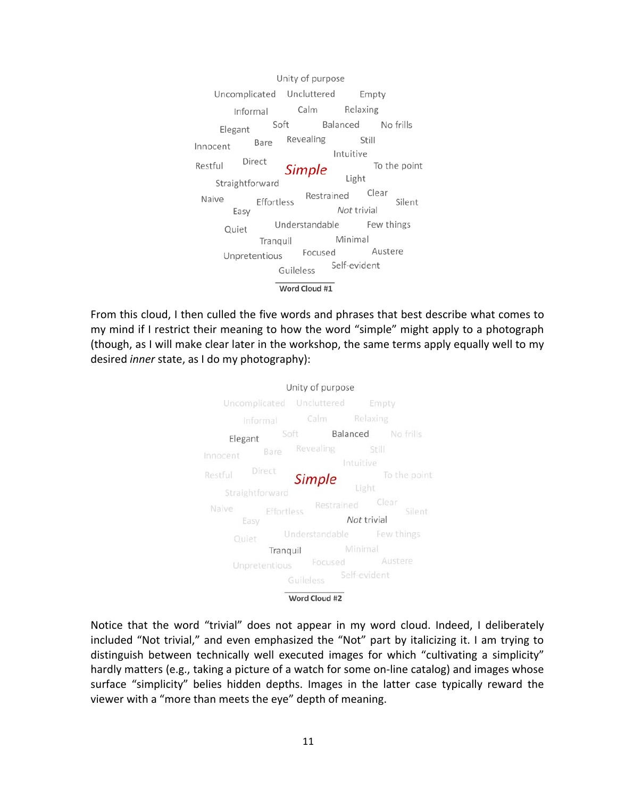Unity of purpose Uncomplicated Uncluttered Empty Calm Relaxing Informal Soft Balanced No frills Elegant Revealing Still Bare Innocent Intuitive Direct Restful To the point Simple Light Straightforward Clear Restrained Naive Effortless Silent Not trivial Easy Understandable Few things Quiet Minimal Tranguil Austere Focused Unpretentious Self-evident Guileless Word Cloud #1

From this cloud, I then culled the five words and phrases that best describe what comes to my mind if I restrict their meaning to how the word "simple" might apply to a photograph (though, as I will make clear later in the workshop, the same terms apply equally well to my desired *inner* state, as I do my photography):



Notice that the word "trivial" does not appear in my word cloud. Indeed, I deliberately included "Not trivial," and even emphasized the "Not" part by italicizing it. I am trying to distinguish between technically well executed images for which "cultivating a simplicity" hardly matters (e.g., taking a picture of a watch for some on-line catalog) and images whose surface "simplicity" belies hidden depths. Images in the latter case typically reward the viewer with a "more than meets the eye" depth of meaning.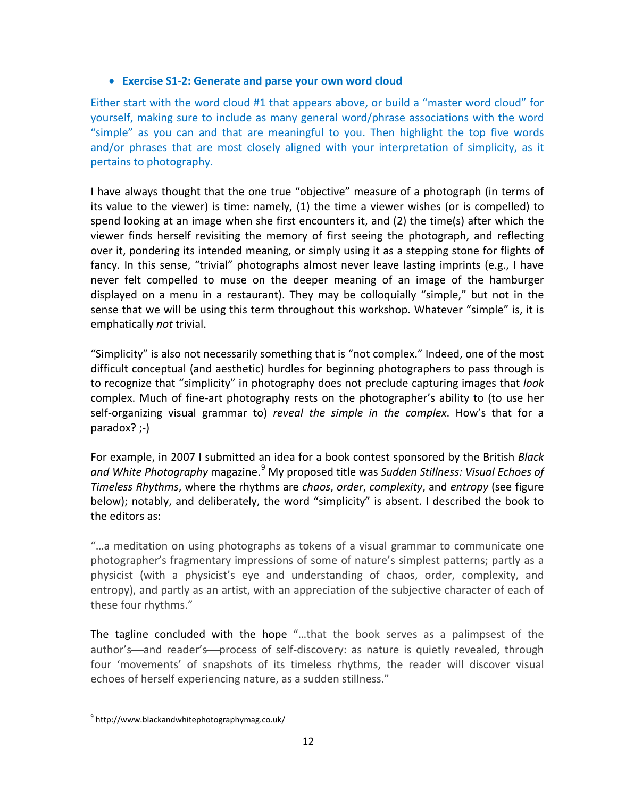### • **Exercise S1-2: Generate and parse your own word cloud**

Either start with the word cloud #1 that appears above, or build a "master word cloud" for yourself, making sure to include as many general word/phrase associations with the word "simple" as you can and that are meaningful to you. Then highlight the top five words and/or phrases that are most closely aligned with your interpretation of simplicity, as it pertains to photography.

I have always thought that the one true "objective" measure of a photograph (in terms of its value to the viewer) is time: namely, (1) the time a viewer wishes (or is compelled) to spend looking at an image when she first encounters it, and (2) the time(s) after which the viewer finds herself revisiting the memory of first seeing the photograph, and reflecting over it, pondering its intended meaning, or simply using it as a stepping stone for flights of fancy. In this sense, "trivial" photographs almost never leave lasting imprints (e.g., I have never felt compelled to muse on the deeper meaning of an image of the hamburger displayed on a menu in a restaurant). They may be colloquially "simple," but not in the sense that we will be using this term throughout this workshop. Whatever "simple" is, it is emphatically *not* trivial.

"Simplicity" is also not necessarily something that is "not complex." Indeed, one of the most difficult conceptual (and aesthetic) hurdles for beginning photographers to pass through is to recognize that "simplicity" in photography does not preclude capturing images that *look* complex. Much of fine-art photography rests on the photographer's ability to (to use her self-organizing visual grammar to) *reveal the simple in the complex*. How's that for a paradox? ;-)

For example, in 2007 I submitted an idea for a book contest sponsored by the British *Black and White Photography* magazine.[9](#page-11-0) My proposed title was *Sudden Stillness: Visual Echoes of Timeless Rhythms*, where the rhythms are *chaos*, *order*, *complexity*, and *entropy* (see figure below); notably, and deliberately, the word "simplicity" is absent. I described the book to the editors as:

"…a meditation on using photographs as tokens of a visual grammar to communicate one photographer's fragmentary impressions of some of nature's simplest patterns; partly as a physicist (with a physicist's eye and understanding of chaos, order, complexity, and entropy), and partly as an artist, with an appreciation of the subjective character of each of these four rhythms."

The tagline concluded with the hope "…that the book serves as a palimpsest of the author's—and reader's—process of self-discovery: as nature is quietly revealed, through four 'movements' of snapshots of its timeless rhythms, the reader will discover visual echoes of herself experiencing nature, as a sudden stillness."

<span id="page-11-0"></span> <sup>9</sup> http://www.blackandwhitephotographymag.co.uk/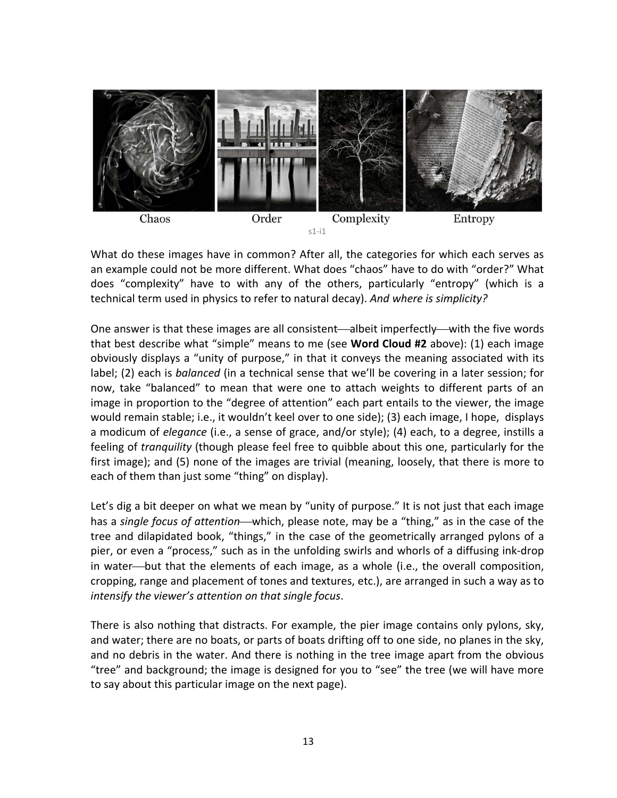

What do these images have in common? After all, the categories for which each serves as an example could not be more different. What does "chaos" have to do with "order?" What does "complexity" have to with any of the others, particularly "entropy" (which is a technical term used in physics to refer to natural decay). *And where is simplicity?*

One answer is that these images are all consistent—albeit imperfectly—with the five words that best describe what "simple" means to me (see **Word Cloud #2** above): (1) each image obviously displays a "unity of purpose," in that it conveys the meaning associated with its label; (2) each is *balanced* (in a technical sense that we'll be covering in a later session; for now, take "balanced" to mean that were one to attach weights to different parts of an image in proportion to the "degree of attention" each part entails to the viewer, the image would remain stable; i.e., it wouldn't keel over to one side); (3) each image, I hope, displays a modicum of *elegance* (i.e., a sense of grace, and/or style); (4) each, to a degree, instills a feeling of *tranquility* (though please feel free to quibble about this one, particularly for the first image); and (5) none of the images are trivial (meaning, loosely, that there is more to each of them than just some "thing" on display).

Let's dig a bit deeper on what we mean by "unity of purpose." It is not just that each image has a *single focus of attention*—which, please note, may be a "thing," as in the case of the tree and dilapidated book, "things," in the case of the geometrically arranged pylons of a pier, or even a "process," such as in the unfolding swirls and whorls of a diffusing ink-drop in water—but that the elements of each image, as a whole (i.e., the overall composition, cropping, range and placement of tones and textures, etc.), are arranged in such a way as to *intensify the viewer's attention on that single focus*.

There is also nothing that distracts. For example, the pier image contains only pylons, sky, and water; there are no boats, or parts of boats drifting off to one side, no planes in the sky, and no debris in the water. And there is nothing in the tree image apart from the obvious "tree" and background; the image is designed for you to "see" the tree (we will have more to say about this particular image on the next page).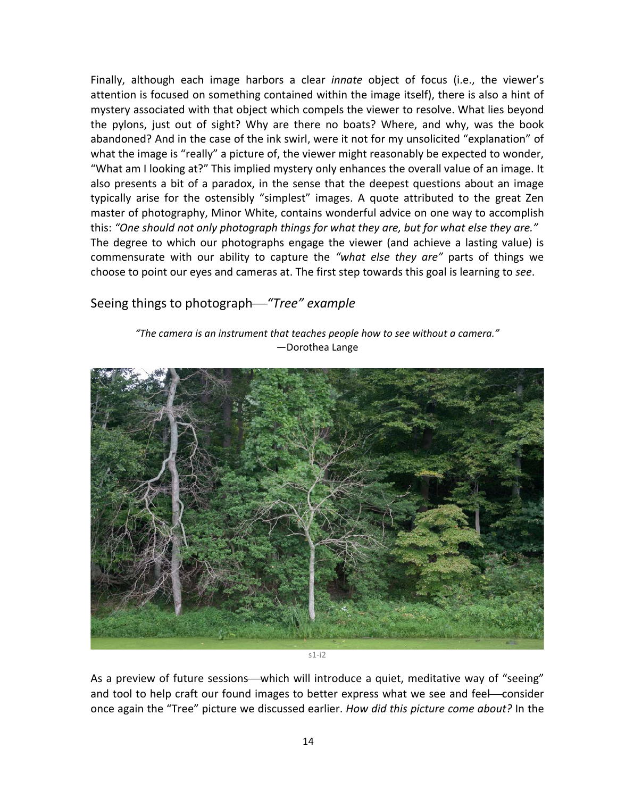Finally, although each image harbors a clear *innate* object of focus (i.e., the viewer's attention is focused on something contained within the image itself), there is also a hint of mystery associated with that object which compels the viewer to resolve. What lies beyond the pylons, just out of sight? Why are there no boats? Where, and why, was the book abandoned? And in the case of the ink swirl, were it not for my unsolicited "explanation" of what the image is "really" a picture of, the viewer might reasonably be expected to wonder, "What am I looking at?" This implied mystery only enhances the overall value of an image. It also presents a bit of a paradox, in the sense that the deepest questions about an image typically arise for the ostensibly "simplest" images. A quote attributed to the great Zen master of photography, Minor White, contains wonderful advice on one way to accomplish this: *"One should not only photograph things for what they are, but for what else they are."* The degree to which our photographs engage the viewer (and achieve a lasting value) is commensurate with our ability to capture the *"what else they are"* parts of things we choose to point our eyes and cameras at. The first step towards this goal is learning to *see*.

## Seeing things to photograph*"Tree" example*

*"The camera is an instrument that teaches people how to see without a camera."* —Dorothea Lange



As a preview of future sessions—which will introduce a quiet, meditative way of "seeing" and tool to help craft our found images to better express what we see and feel-consider once again the "Tree" picture we discussed earlier. *How did this picture come about?* In the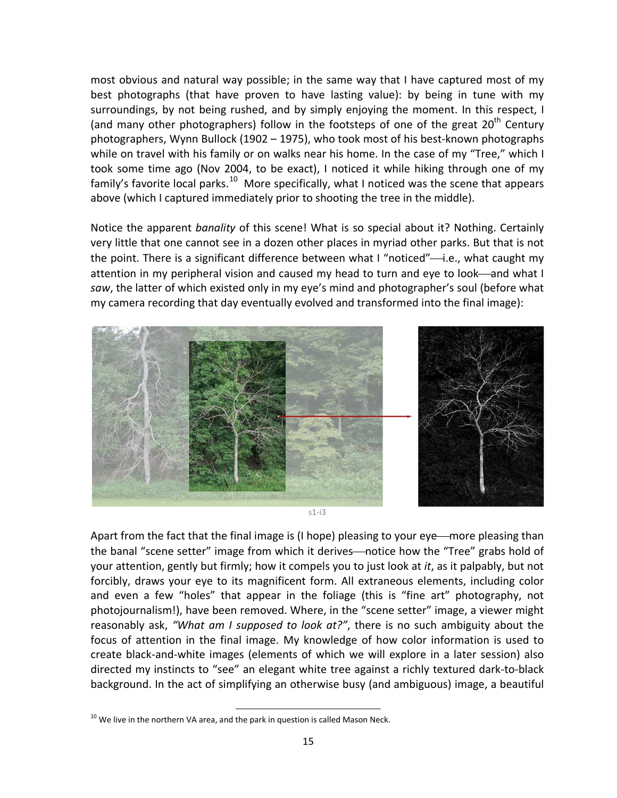most obvious and natural way possible; in the same way that I have captured most of my best photographs (that have proven to have lasting value): by being in tune with my surroundings, by not being rushed, and by simply enjoying the moment. In this respect, I (and many other photographers) follow in the footsteps of one of the great  $20<sup>th</sup>$  Century photographers, Wynn Bullock (1902 – 1975), who took most of his best-known photographs while on travel with his family or on walks near his home. In the case of my "Tree," which I took some time ago (Nov 2004, to be exact), I noticed it while hiking through one of my family's favorite local parks.<sup>10</sup> More specifically, what I noticed was the scene that appears above (which I captured immediately prior to shooting the tree in the middle).

Notice the apparent *banality* of this scene! What is so special about it? Nothing. Certainly very little that one cannot see in a dozen other places in myriad other parks. But that is not the point. There is a significant difference between what I "noticed"—i.e., what caught my attention in my peripheral vision and caused my head to turn and eye to look—and what I *saw*, the latter of which existed only in my eye's mind and photographer's soul (before what my camera recording that day eventually evolved and transformed into the final image):



s1-i3

Apart from the fact that the final image is (I hope) pleasing to your eye—more pleasing than the banal "scene setter" image from which it derives—notice how the "Tree" grabs hold of your attention, gently but firmly; how it compels you to just look at *it*, as it palpably, but not forcibly, draws your eye to its magnificent form. All extraneous elements, including color and even a few "holes" that appear in the foliage (this is "fine art" photography, not photojournalism!), have been removed. Where, in the "scene setter" image, a viewer might reasonably ask, *"What am I supposed to look at?"*, there is no such ambiguity about the focus of attention in the final image. My knowledge of how color information is used to create black-and-white images (elements of which we will explore in a later session) also directed my instincts to "see" an elegant white tree against a richly textured dark-to-black background. In the act of simplifying an otherwise busy (and ambiguous) image, a beautiful

<span id="page-14-0"></span> $10$  We live in the northern VA area, and the park in question is called Mason Neck.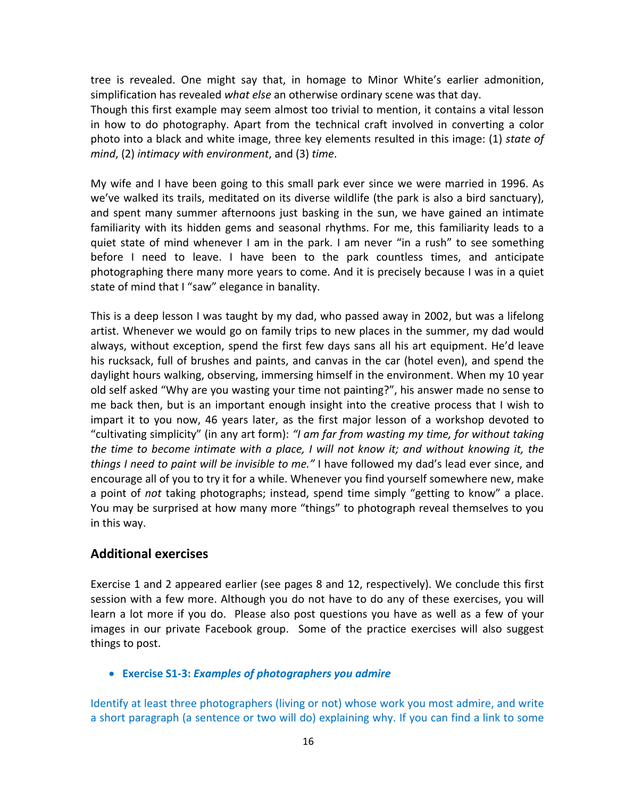tree is revealed. One might say that, in homage to Minor White's earlier admonition, simplification has revealed *what else* an otherwise ordinary scene was that day.

Though this first example may seem almost too trivial to mention, it contains a vital lesson in how to do photography. Apart from the technical craft involved in converting a color photo into a black and white image, three key elements resulted in this image: (1) *state of mind*, (2) *intimacy with environment*, and (3) *time*.

My wife and I have been going to this small park ever since we were married in 1996. As we've walked its trails, meditated on its diverse wildlife (the park is also a bird sanctuary), and spent many summer afternoons just basking in the sun, we have gained an intimate familiarity with its hidden gems and seasonal rhythms. For me, this familiarity leads to a quiet state of mind whenever I am in the park. I am never "in a rush" to see something before I need to leave. I have been to the park countless times, and anticipate photographing there many more years to come. And it is precisely because I was in a quiet state of mind that I "saw" elegance in banality.

This is a deep lesson I was taught by my dad, who passed away in 2002, but was a lifelong artist. Whenever we would go on family trips to new places in the summer, my dad would always, without exception, spend the first few days sans all his art equipment. He'd leave his rucksack, full of brushes and paints, and canvas in the car (hotel even), and spend the daylight hours walking, observing, immersing himself in the environment. When my 10 year old self asked "Why are you wasting your time not painting?", his answer made no sense to me back then, but is an important enough insight into the creative process that I wish to impart it to you now, 46 years later, as the first major lesson of a workshop devoted to "cultivating simplicity" (in any art form): *"I am far from wasting my time, for without taking the time to become intimate with a place, I will not know it; and without knowing it, the things I need to paint will be invisible to me."* I have followed my dad's lead ever since, and encourage all of you to try it for a while. Whenever you find yourself somewhere new, make a point of *not* taking photographs; instead, spend time simply "getting to know" a place. You may be surprised at how many more "things" to photograph reveal themselves to you in this way.

## **Additional exercises**

Exercise 1 and 2 appeared earlier (see pages 8 and 12, respectively). We conclude this first session with a few more. Although you do not have to do any of these exercises, you will learn a lot more if you do. Please also post questions you have as well as a few of your images in our private Facebook group. Some of the practice exercises will also suggest things to post.

#### • **Exercise S1-3:** *Examples of photographers you admire*

Identify at least three photographers (living or not) whose work you most admire, and write a short paragraph (a sentence or two will do) explaining why. If you can find a link to some